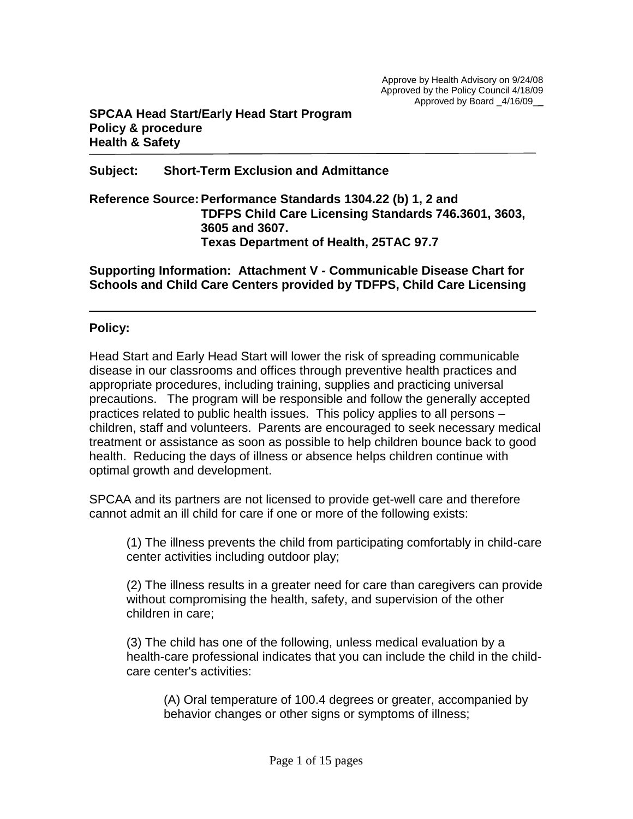## **Subject: Short-Term Exclusion and Admittance**

**Reference Source:Performance Standards 1304.22 (b) 1, 2 and TDFPS Child Care Licensing Standards 746.3601, 3603, 3605 and 3607. Texas Department of Health, 25TAC 97.7** 

**Supporting Information: Attachment V - Communicable Disease Chart for Schools and Child Care Centers provided by TDFPS, Child Care Licensing**

## **Policy:**

Head Start and Early Head Start will lower the risk of spreading communicable disease in our classrooms and offices through preventive health practices and appropriate procedures, including training, supplies and practicing universal precautions. The program will be responsible and follow the generally accepted practices related to public health issues. This policy applies to all persons – children, staff and volunteers. Parents are encouraged to seek necessary medical treatment or assistance as soon as possible to help children bounce back to good health. Reducing the days of illness or absence helps children continue with optimal growth and development.

SPCAA and its partners are not licensed to provide get-well care and therefore cannot admit an ill child for care if one or more of the following exists:

(1) The illness prevents the child from participating comfortably in child-care center activities including outdoor play;

(2) The illness results in a greater need for care than caregivers can provide without compromising the health, safety, and supervision of the other children in care;

(3) The child has one of the following, unless medical evaluation by a health-care professional indicates that you can include the child in the childcare center's activities:

(A) Oral temperature of 100.4 degrees or greater, accompanied by behavior changes or other signs or symptoms of illness;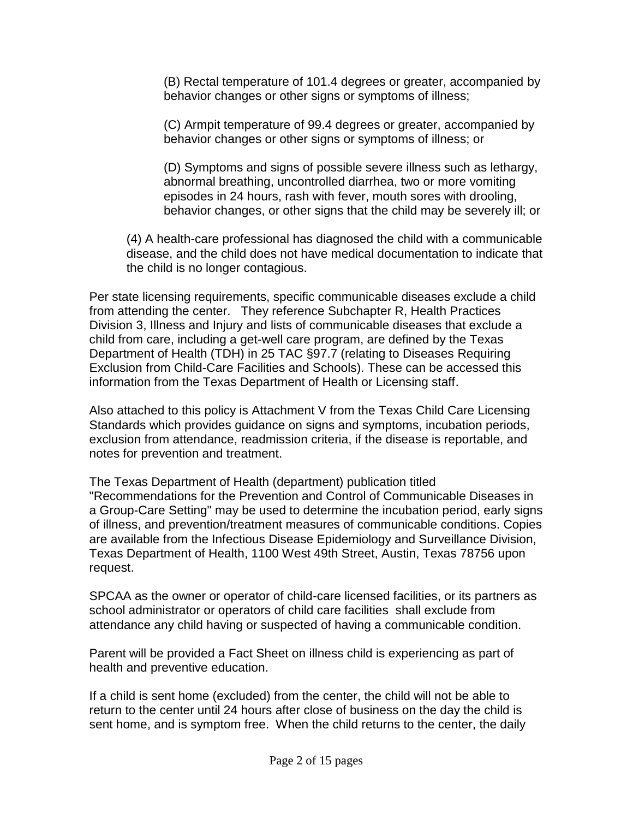(B) Rectal temperature of 101.4 degrees or greater, accompanied by behavior changes or other signs or symptoms of illness;

(C) Armpit temperature of 99.4 degrees or greater, accompanied by behavior changes or other signs or symptoms of illness; or

(D) Symptoms and signs of possible severe illness such as lethargy, abnormal breathing, uncontrolled diarrhea, two or more vomiting episodes in 24 hours, rash with fever, mouth sores with drooling, behavior changes, or other signs that the child may be severely ill; or

(4) A health-care professional has diagnosed the child with a communicable disease, and the child does not have medical documentation to indicate that the child is no longer contagious.

Per state licensing requirements, specific communicable diseases exclude a child from attending the center. They reference Subchapter R, Health Practices Division 3, Illness and Injury and lists of communicable diseases that exclude a child from care, including a get-well care program, are defined by the Texas Department of Health (TDH) in 25 TAC §97.7 (relating to Diseases Requiring Exclusion from Child-Care Facilities and Schools). These can be accessed this information from the Texas Department of Health or Licensing staff.

Also attached to this policy is Attachment V from the Texas Child Care Licensing Standards which provides guidance on signs and symptoms, incubation periods, exclusion from attendance, readmission criteria, if the disease is reportable, and notes for prevention and treatment.

The Texas Department of Health (department) publication titled "Recommendations for the Prevention and Control of Communicable Diseases in a Group-Care Setting" may be used to determine the incubation period, early signs of illness, and prevention/treatment measures of communicable conditions. Copies are available from the Infectious Disease Epidemiology and Surveillance Division, Texas Department of Health, 1100 West 49th Street, Austin, Texas 78756 upon request.

SPCAA as the owner or operator of child-care licensed facilities, or its partners as school administrator or operators of child care facilities shall exclude from attendance any child having or suspected of having a communicable condition.

Parent will be provided a Fact Sheet on illness child is experiencing as part of health and preventive education.

If a child is sent home (excluded) from the center, the child will not be able to return to the center until 24 hours after close of business on the day the child is sent home, and is symptom free. When the child returns to the center, the daily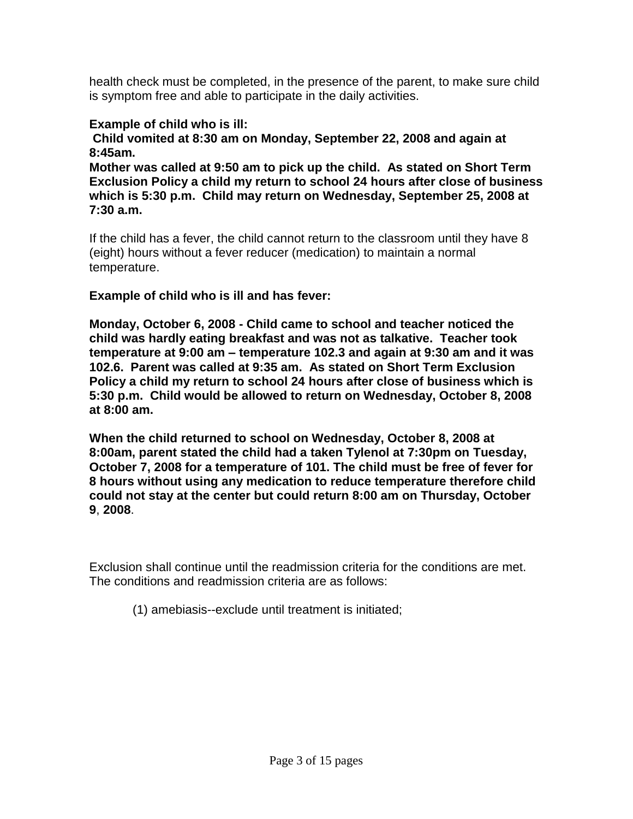health check must be completed, in the presence of the parent, to make sure child is symptom free and able to participate in the daily activities.

# **Example of child who is ill:**

**Child vomited at 8:30 am on Monday, September 22, 2008 and again at 8:45am.**

**Mother was called at 9:50 am to pick up the child. As stated on Short Term Exclusion Policy a child my return to school 24 hours after close of business which is 5:30 p.m. Child may return on Wednesday, September 25, 2008 at 7:30 a.m.** 

If the child has a fever, the child cannot return to the classroom until they have 8 (eight) hours without a fever reducer (medication) to maintain a normal temperature.

**Example of child who is ill and has fever:**

**Monday, October 6, 2008 - Child came to school and teacher noticed the child was hardly eating breakfast and was not as talkative. Teacher took temperature at 9:00 am – temperature 102.3 and again at 9:30 am and it was 102.6. Parent was called at 9:35 am. As stated on Short Term Exclusion Policy a child my return to school 24 hours after close of business which is 5:30 p.m. Child would be allowed to return on Wednesday, October 8, 2008 at 8:00 am.** 

**When the child returned to school on Wednesday, October 8, 2008 at 8:00am, parent stated the child had a taken Tylenol at 7:30pm on Tuesday, October 7, 2008 for a temperature of 101. The child must be free of fever for 8 hours without using any medication to reduce temperature therefore child could not stay at the center but could return 8:00 am on Thursday, October 9**, **2008**.

Exclusion shall continue until the readmission criteria for the conditions are met. The conditions and readmission criteria are as follows:

(1) amebiasis--exclude until treatment is initiated;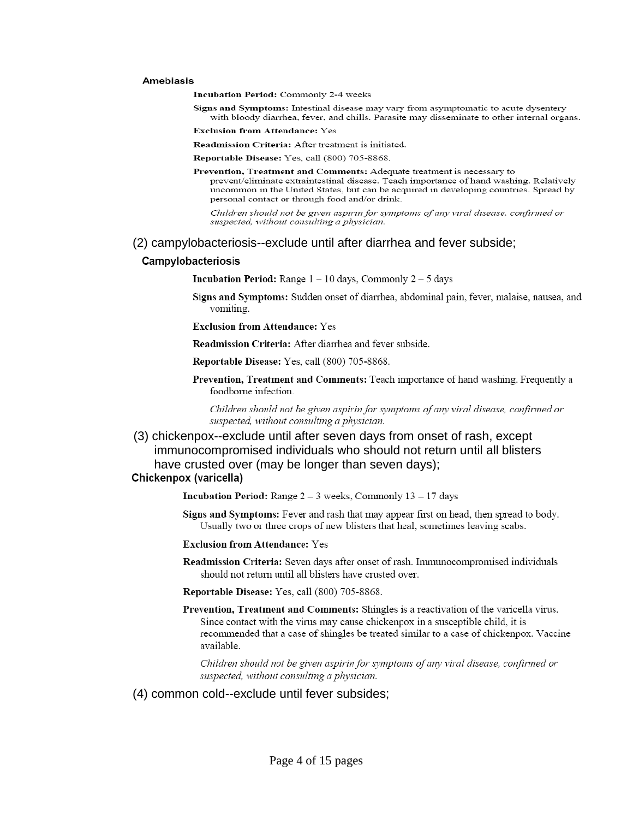#### **Amebiasis**

Incubation Period: Commonly 2-4 weeks

Signs and Symptoms: Intestinal disease may vary from asymptomatic to acute dysentery with bloody diarrhea, fever, and chills. Parasite may disseminate to other internal organs.

**Exclusion from Attendance: Yes** 

Readmission Criteria: After treatment is initiated.

Reportable Disease: Yes, call (800) 705-8868.

Prevention, Treatment and Comments: Adequate treatment is necessary to prevent/eliminate extraintestinal disease. Teach importance of hand washing. Relatively uncommon in the United States, but can be acquired in developing countries. Spread by personal contact or through food and/or drink.

Children should not be given aspirin for symptoms of any viral disease, confirmed or suspected, without consulting a physician.

#### (2) campylobacteriosis--exclude until after diarrhea and fever subside;

#### Campylobacteriosis

**Incubation Period:** Range  $1 - 10$  days, Commonly  $2 - 5$  days

- Signs and Symptoms: Sudden onset of diarrhea, abdominal pain, fever, malaise, nausea, and vomiting.
- **Exclusion from Attendance: Yes**

Readmission Criteria: After diarrhea and fever subside.

Reportable Disease: Yes, call (800) 705-8868.

**Prevention, Treatment and Comments: Teach importance of hand washing. Frequently a** foodborne infection.

Children should not be given aspirin for symptoms of any viral disease, confirmed or suspected, without consulting a physician.

(3) chickenpox--exclude until after seven days from onset of rash, except immunocompromised individuals who should not return until all blisters have crusted over (may be longer than seven days); Chickenpox (varicella)

**Incubation Period:** Range  $2 - 3$  weeks, Commonly  $13 - 17$  days

Signs and Symptoms: Fever and rash that may appear first on head, then spread to body. Usually two or three crops of new blisters that heal, sometimes leaving scabs.

**Exclusion from Attendance: Yes** 

Readmission Criteria: Seven days after onset of rash. Immunocompromised individuals should not return until all blisters have crusted over.

Reportable Disease: Yes, call (800) 705-8868.

Prevention, Treatment and Comments: Shingles is a reactivation of the varicella virus. Since contact with the virus may cause chickenpox in a susceptible child, it is recommended that a case of shingles be treated similar to a case of chickenpox. Vaccine available.

Children should not be given aspirin for symptoms of any viral disease, confirmed or suspected, without consulting a physician.

(4) common cold--exclude until fever subsides;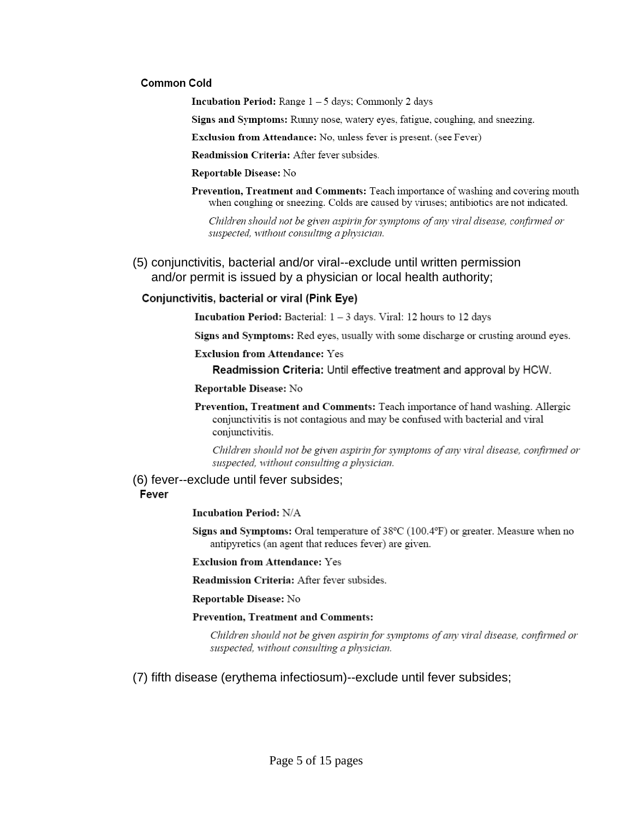## **Common Cold**

**Incubation Period:** Range  $1 - 5$  days; Commonly 2 days

Signs and Symptoms: Runny nose, watery eyes, fatigue, coughing, and sneezing.

Exclusion from Attendance: No, unless fever is present. (see Fever)

Readmission Criteria: After fever subsides.

#### Reportable Disease: No

Prevention, Treatment and Comments: Teach importance of washing and covering mouth when coughing or sneezing. Colds are caused by viruses; antibiotics are not indicated.

Children should not be given aspirin for symptoms of any viral disease, confirmed or suspected, without consulting a physician.

## (5) conjunctivitis, bacterial and/or viral--exclude until written permission and/or permit is issued by a physician or local health authority;

## Conjunctivitis, bacterial or viral (Pink Eye)

**Incubation Period:** Bacterial:  $1 - 3$  days. Viral: 12 hours to 12 days

Signs and Symptoms: Red eyes, usually with some discharge or crusting around eyes.

**Exclusion from Attendance: Yes** 

Readmission Criteria: Until effective treatment and approval by HCW.

#### Reportable Disease: No

Prevention, Treatment and Comments: Teach importance of hand washing. Allergic conjunctivitis is not contagious and may be confused with bacterial and viral conjunctivitis.

Children should not be given aspirin for symptoms of any viral disease, confirmed or suspected, without consulting a physician.

## (6) fever--exclude until fever subsides;

## Fever

**Incubation Period: N/A** 

Signs and Symptoms: Oral temperature of  $38^{\circ}$ C (100.4 $^{\circ}$ F) or greater. Measure when no antipyretics (an agent that reduces fever) are given.

**Exclusion from Attendance: Yes** 

Readmission Criteria: After fever subsides.

Reportable Disease: No

## **Prevention, Treatment and Comments:**

Children should not be given aspirin for symptoms of any viral disease, confirmed or suspected, without consulting a physician.

## (7) fifth disease (erythema infectiosum)--exclude until fever subsides;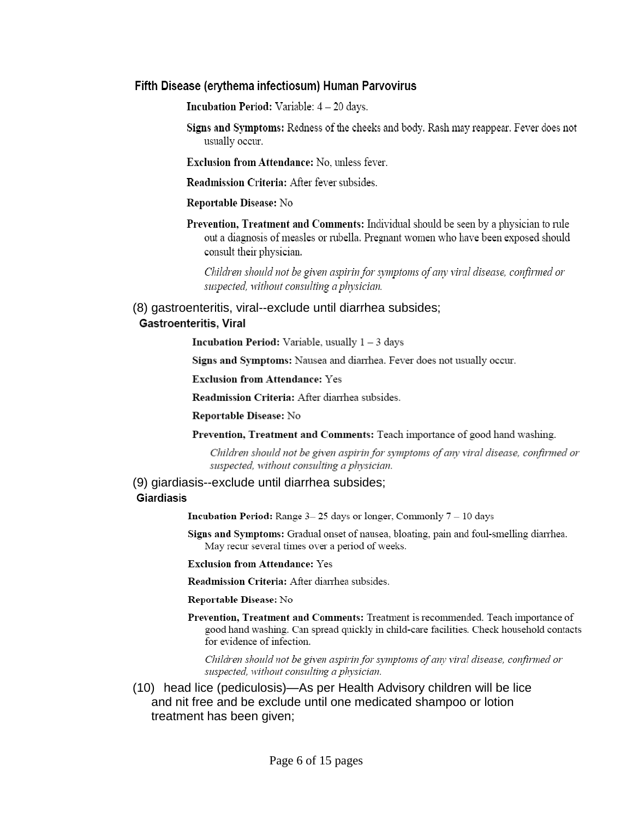## Fifth Disease (erythema infectiosum) Human Parvovirus

**Incubation Period:** Variable:  $4 - 20$  days.

Signs and Symptoms: Redness of the cheeks and body. Rash may reappear. Fever does not usually occur.

**Exclusion from Attendance: No. unless fever.** 

Readmission Criteria: After fever subsides.

Reportable Disease: No

Prevention, Treatment and Comments: Individual should be seen by a physician to rule out a diagnosis of measles or rubella. Pregnant women who have been exposed should consult their physician.

Children should not be given aspirin for symptoms of any viral disease, confirmed or suspected, without consulting a physician.

## (8) gastroenteritis, viral--exclude until diarrhea subsides; **Gastroenteritis, Viral**

**Incubation Period:** Variable, usually  $1 - 3$  days

Signs and Symptoms: Nausea and diarrhea. Fever does not usually occur.

**Exclusion from Attendance: Yes** 

Readmission Criteria: After diarrhea subsides.

Reportable Disease: No

Prevention, Treatment and Comments: Teach importance of good hand washing.

Children should not be given aspirin for symptoms of any viral disease, confirmed or suspected, without consulting a physician.

## (9) giardiasis--exclude until diarrhea subsides; Giardiasis

**Incubation Period:** Range  $3-25$  days or longer, Commonly  $7-10$  days

Signs and Symptoms: Gradual onset of nausea, bloating, pain and foul-smelling diarrhea. May recur several times over a period of weeks.

**Exclusion from Attendance: Yes** 

Readmission Criteria: After diarrhea subsides.

Reportable Disease: No

Prevention, Treatment and Comments: Treatment is recommended. Teach importance of good hand washing. Can spread quickly in child-care facilities. Check household contacts for evidence of infection.

Children should not be given aspirin for symptoms of any viral disease, confirmed or suspected, without consulting a physician.

(10) head lice (pediculosis)—As per Health Advisory children will be lice and nit free and be exclude until one medicated shampoo or lotion treatment has been given;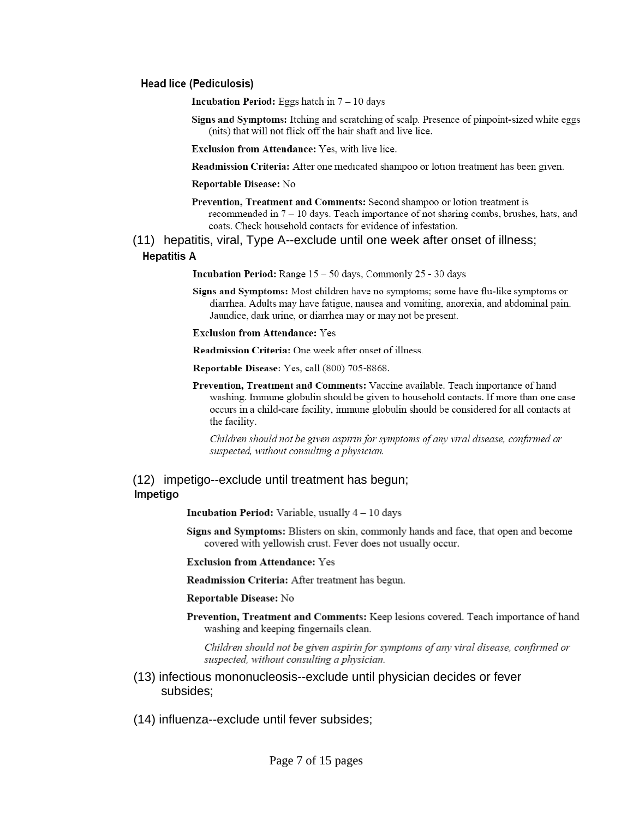#### Head lice (Pediculosis)

**Incubation Period:** Eggs hatch in  $7 - 10$  days

Signs and Symptoms: Itching and scratching of scalp. Presence of pinpoint-sized white eggs (nits) that will not flick off the hair shaft and live lice.

Exclusion from Attendance: Yes, with live lice.

Readmission Criteria: After one medicated shampoo or lotion treatment has been given.

#### **Reportable Disease:** No

- Prevention, Treatment and Comments: Second shampoo or lotion treatment is recommended in  $7 - 10$  days. Teach importance of not sharing combs, brushes, hats, and coats. Check household contacts for evidence of infestation.
- (11) hepatitis, viral, Type A--exclude until one week after onset of illness;

## **Hepatitis A**

Incubation Period: Range 15 - 50 days, Commonly 25 - 30 days

Signs and Symptoms: Most children have no symptoms; some have flu-like symptoms or diarrhea. Adults may have fatigue, nausea and vomiting, anorexia, and abdominal pain. Jaundice, dark urine, or diarrhea may or may not be present.

#### **Exclusion from Attendance: Yes**

Readmission Criteria: One week after onset of illness.

Reportable Disease: Yes, call (800) 705-8868.

Prevention, Treatment and Comments: Vaccine available. Teach importance of hand washing. Immune globulin should be given to household contacts. If more than one case occurs in a child-care facility, immune globulin should be considered for all contacts at the facility.

Children should not be given aspirin for symptoms of any viral disease, confirmed or suspected, without consulting a physician.

## (12) impetigo--exclude until treatment has begun; Impetigo

**Incubation Period:** Variable, usually  $4 - 10$  days

Signs and Symptoms: Blisters on skin, commonly hands and face, that open and become covered with yellowish crust. Fever does not usually occur.

**Exclusion from Attendance: Yes** 

Readmission Criteria: After treatment has begun.

Reportable Disease: No

Prevention, Treatment and Comments: Keep lesions covered. Teach importance of hand washing and keeping fingernails clean.

Children should not be given aspirin for symptoms of any viral disease, confirmed or suspected, without consulting a physician.

- (13) infectious mononucleosis--exclude until physician decides or fever subsides:
- (14) influenza--exclude until fever subsides;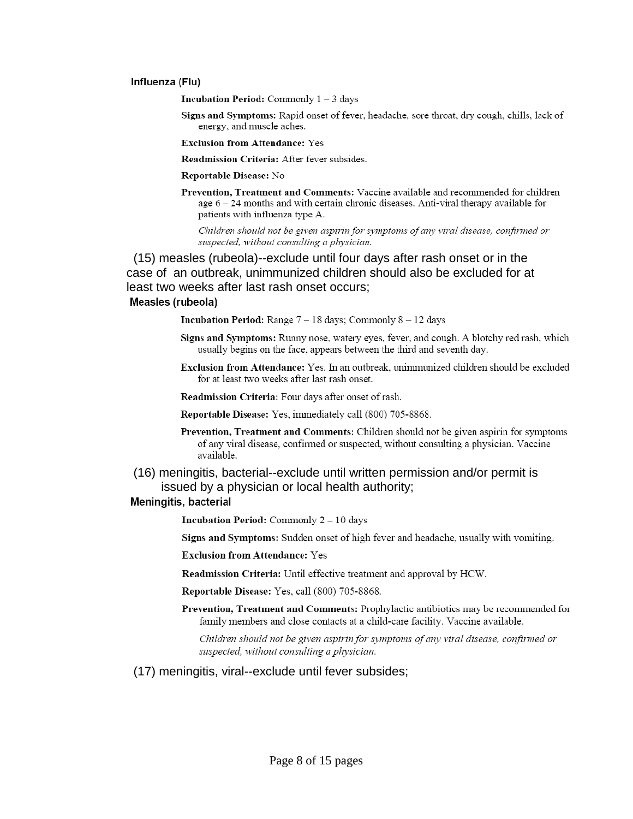#### Influenza (Flu)

**Incubation Period:** Commonly  $1 - 3$  days

Signs and Symptoms: Rapid onset of fever, headache, sore throat, dry cough, chills, lack of energy, and muscle aches.

**Exclusion from Attendance: Yes** 

Readmission Criteria: After fever subsides.

#### Reportable Disease: No

Prevention, Treatment and Comments: Vaccine available and recommended for children age  $6-24$  months and with certain chronic diseases. Anti-viral therapy available for patients with influenza type A.

Children should not be given aspirin for symptoms of any viral disease, confirmed or suspected, without consulting a physician.

(15) measles (rubeola)--exclude until four days after rash onset or in the case of an outbreak, unimmunized children should also be excluded for at least two weeks after last rash onset occurs:

## Measles (rubeola)

**Incubation Period:** Range  $7 - 18$  days; Commonly  $8 - 12$  days

- Signs and Symptoms: Runny nose, watery eyes, fever, and cough. A blotchy red rash, which usually begins on the face, appears between the third and seventh day.
- Exclusion from Attendance: Yes. In an outbreak, unimmunized children should be excluded for at least two weeks after last rash onset.

Readmission Criteria: Four days after onset of rash.

- Reportable Disease: Yes, immediately call (800) 705-8868.
- Prevention, Treatment and Comments: Children should not be given aspirin for symptoms of any viral disease, confirmed or suspected, without consulting a physician. Vaccine available.

## (16) meningitis, bacterial--exclude until written permission and/or permit is issued by a physician or local health authority;

#### **Meningitis, bacterial**

**Incubation Period:** Commonly  $2 - 10$  days

Signs and Symptoms: Sudden onset of high fever and headache, usually with vomiting.

**Exclusion from Attendance: Yes** 

Readmission Criteria: Until effective treatment and approval by HCW.

Reportable Disease: Yes, call (800) 705-8868.

Prevention, Treatment and Comments: Prophylactic antibiotics may be recommended for family members and close contacts at a child-care facility. Vaccine available.

Children should not be given aspirin for symptoms of any viral disease, confirmed or suspected, without consulting a physician.

(17) meningitis, viral--exclude until fever subsides;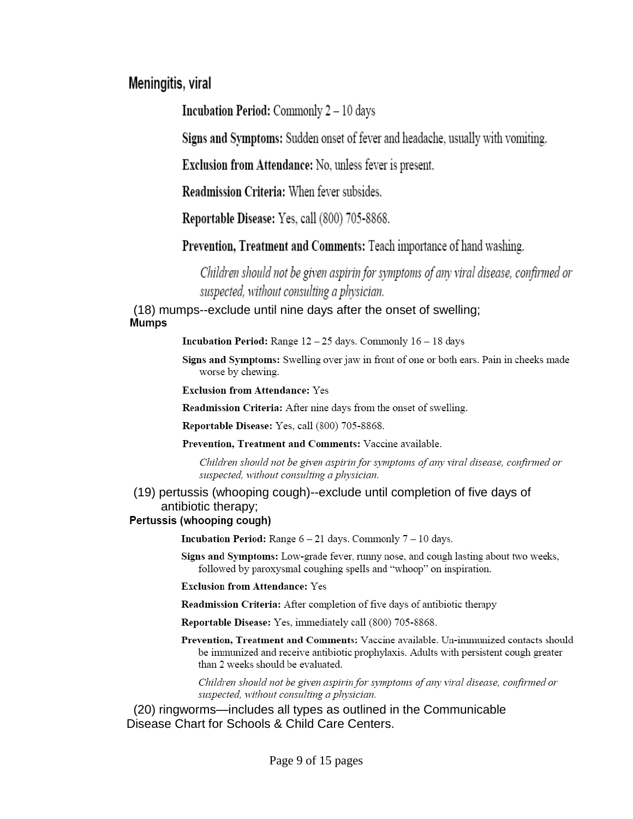# Meningitis, viral

**Incubation Period:** Commonly 2 - 10 days

Signs and Symptoms: Sudden onset of fever and headache, usually with vomiting.

**Exclusion from Attendance:** No, unless fever is present.

Readmission Criteria: When fever subsides.

Reportable Disease: Yes, call (800) 705-8868.

**Prevention, Treatment and Comments: Teach importance of hand washing.** 

Children should not be given aspirin for symptoms of any viral disease, confirmed or suspected, without consulting a physician.

(18) mumps--exclude until nine days after the onset of swelling; **Mumps** 

**Incubation Period:** Range  $12 - 25$  days. Commonly  $16 - 18$  days

Signs and Symptoms: Swelling over jaw in front of one or both ears. Pain in cheeks made worse by chewing.

**Exclusion from Attendance: Yes** 

Readmission Criteria: After nine days from the onset of swelling.

Reportable Disease: Yes, call (800) 705-8868.

Prevention, Treatment and Comments: Vaccine available.

Children should not be given aspirin for symptoms of any viral disease, confirmed or suspected, without consulting a physician.

(19) pertussis (whooping cough)--exclude until completion of five days of antibiotic therapy;

## Pertussis (whooping cough)

**Incubation Period:** Range  $6 - 21$  days. Commonly  $7 - 10$  days.

Signs and Symptoms: Low-grade fever, runny nose, and cough lasting about two weeks, followed by paroxysmal coughing spells and "whoop" on inspiration.

**Exclusion from Attendance: Yes** 

Readmission Criteria: After completion of five days of antibiotic therapy

Reportable Disease: Yes, immediately call (800) 705-8868.

Prevention, Treatment and Comments: Vaccine available. Un-immunized contacts should be immunized and receive antibiotic prophylaxis. Adults with persistent cough greater than 2 weeks should be evaluated.

Children should not be given aspirin for symptoms of any viral disease, confirmed or suspected, without consulting a physician.

(20) ringworms—includes all types as outlined in the Communicable Disease Chart for Schools & Child Care Centers.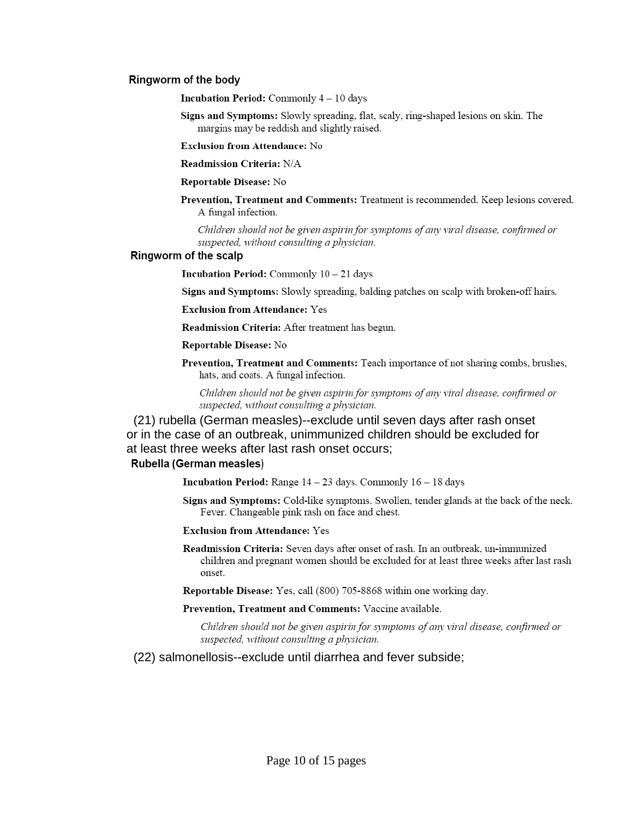#### Ringworm of the body

**Incubation Period:** Commonly 4 - 10 days

Signs and Symptoms: Slowly spreading, flat, scaly, ring-shaped lesions on skin. The margins may be reddish and slightly raised.

**Exclusion from Attendance: No** 

Readmission Criteria: N/A

#### Reportable Disease: No

Prevention, Treatment and Comments: Treatment is recommended. Keep lesions covered. A fungal infection.

Children should not be given aspirin for symptoms of any viral disease, confirmed or suspected, without consulting a physician.

#### Ringworm of the scalp

**Incubation Period:** Commonly  $10 - 21$  days

Signs and Symptoms: Slowly spreading, balding patches on scalp with broken-off hairs.

**Exclusion from Attendance: Yes** 

**Readmission Criteria:** After treatment has begun.

#### Reportable Disease: No

Prevention, Treatment and Comments: Teach importance of not sharing combs, brushes, hats, and coats. A fungal infection.

Children should not be given aspirin for symptoms of any viral disease, confirmed or suspected, without consulting a physician.

(21) rubella (German measles)--exclude until seven days after rash onset or in the case of an outbreak, unimmunized children should be excluded for at least three weeks after last rash onset occurs; Rubella (German measles)

**Incubation Period:** Range  $14 - 23$  days. Commonly  $16 - 18$  days

Signs and Symptoms: Cold-like symptoms. Swollen, tender glands at the back of the neck. Fever. Changeable pink rash on face and chest.

#### **Exclusion from Attendance: Yes**

Readmission Criteria: Seven days after onset of rash. In an outbreak, un-immunized children and pregnant women should be excluded for at least three weeks after last rash onset.

Reportable Disease: Yes, call (800) 705-8868 within one working day.

Prevention, Treatment and Comments: Vaccine available.

Children should not be given aspirin for symptoms of any viral disease, confirmed or suspected, without consulting a physician.

#### (22) salmonellosis--exclude until diarrhea and fever subside;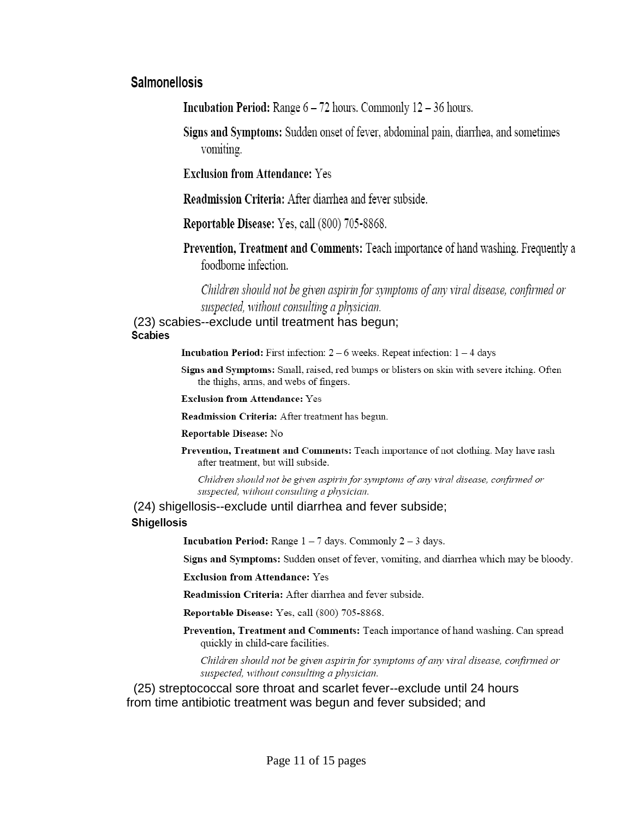# **Salmonellosis**

**Incubation Period:** Range  $6 - 72$  hours. Commonly  $12 - 36$  hours.

Signs and Symptoms: Sudden onset of fever, abdominal pain, diarrhea, and sometimes vomiting.

**Exclusion from Attendance: Yes** 

**Readmission Criteria:** After diarrhea and fever subside.

**Reportable Disease:** Yes, call (800) 705-8868.

**Prevention, Treatment and Comments: Teach importance of hand washing. Frequently a** foodborne infection.

Children should not be given aspirin for symptoms of any viral disease, confirmed or suspected, without consulting a physician.

(23) scabies--exclude until treatment has begun; **Scabies** 

**Incubation Period:** First infection:  $2 - 6$  weeks. Repeat infection:  $1 - 4$  days

Signs and Symptoms: Small, raised, red bumps or blisters on skin with severe itching. Often the thighs, arms, and webs of fingers.

**Exclusion from Attendance: Yes** 

Readmission Criteria: After treatment has begun.

#### Reportable Disease: No

Prevention, Treatment and Comments: Teach importance of not clothing. May have rash after treatment, but will subside.

Children should not be given aspirin for symptoms of any viral disease, confirmed or suspected, without consulting a physician.

# (24) shigellosis--exclude until diarrhea and fever subside;

## **Shigellosis**

**Incubation Period:** Range  $1 - 7$  days. Commonly  $2 - 3$  days.

Signs and Symptoms: Sudden onset of fever, vomiting, and diarrhea which may be bloody.

**Exclusion from Attendance: Yes** 

Readmission Criteria: After diarrhea and fever subside.

Reportable Disease: Yes, call (800) 705-8868.

Prevention, Treatment and Comments: Teach importance of hand washing. Can spread quickly in child-care facilities.

Children should not be given aspirin for symptoms of any viral disease, confirmed or suspected, without consulting a physician.

(25) streptococcal sore throat and scarlet fever--exclude until 24 hours from time antibiotic treatment was begun and fever subsided; and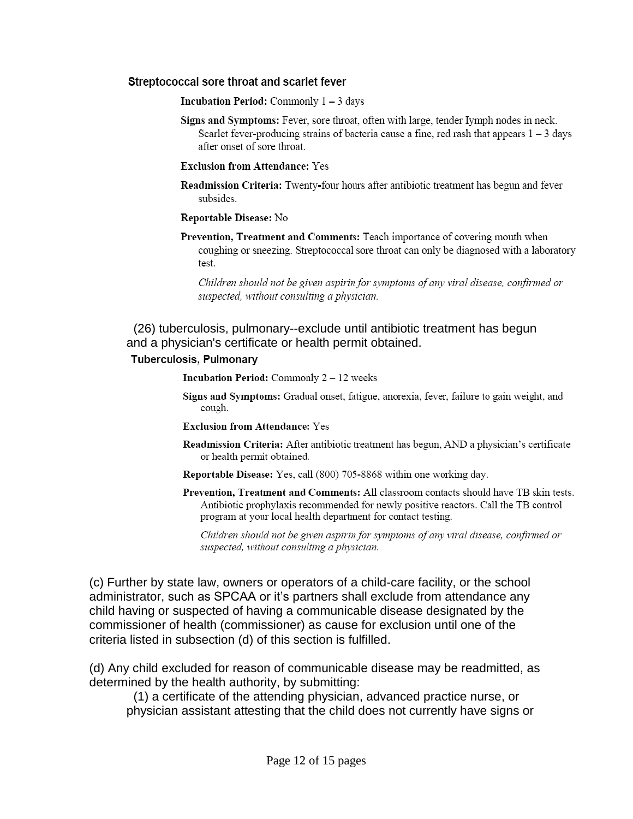## Streptococcal sore throat and scarlet fever

**Incubation Period:** Commonly  $1 - 3$  days

Signs and Symptoms: Fever, sore throat, often with large, tender Iymph nodes in neck. Scarlet fever-producing strains of bacteria cause a fine, red rash that appears  $1 - 3$  days after onset of sore throat.

## **Exclusion from Attendance: Yes**

Readmission Criteria: Twenty-four hours after antibiotic treatment has begun and fever subsides.

## Reportable Disease: No

Prevention, Treatment and Comments: Teach importance of covering mouth when coughing or sneezing. Streptococcal sore throat can only be diagnosed with a laboratory test.

Children should not be given aspirin for symptoms of any viral disease, confirmed or suspected, without consulting a physician.

(26) tuberculosis, pulmonary--exclude until antibiotic treatment has begun and a physician's certificate or health permit obtained.

## Tuberculosis, Pulmonary

**Incubation Period:** Commonly 2 - 12 weeks

- Signs and Symptoms: Gradual onset, fatigue, anorexia, fever, failure to gain weight, and cough.
- **Exclusion from Attendance: Yes**
- Readmission Criteria: After antibiotic treatment has begun, AND a physician's certificate or health permit obtained.
- Reportable Disease: Yes, call (800) 705-8868 within one working day.
- Prevention, Treatment and Comments: All classroom contacts should have TB skin tests. Antibiotic prophylaxis recommended for newly positive reactors. Call the TB control program at your local health department for contact testing.

Children should not be given aspirin for symptoms of any viral disease, confirmed or suspected, without consulting a physician.

(c) Further by state law, owners or operators of a child-care facility, or the school administrator, such as SPCAA or it's partners shall exclude from attendance any child having or suspected of having a communicable disease designated by the commissioner of health (commissioner) as cause for exclusion until one of the criteria listed in subsection (d) of this section is fulfilled.

(d) Any child excluded for reason of communicable disease may be readmitted, as determined by the health authority, by submitting:

(1) a certificate of the attending physician, advanced practice nurse, or physician assistant attesting that the child does not currently have signs or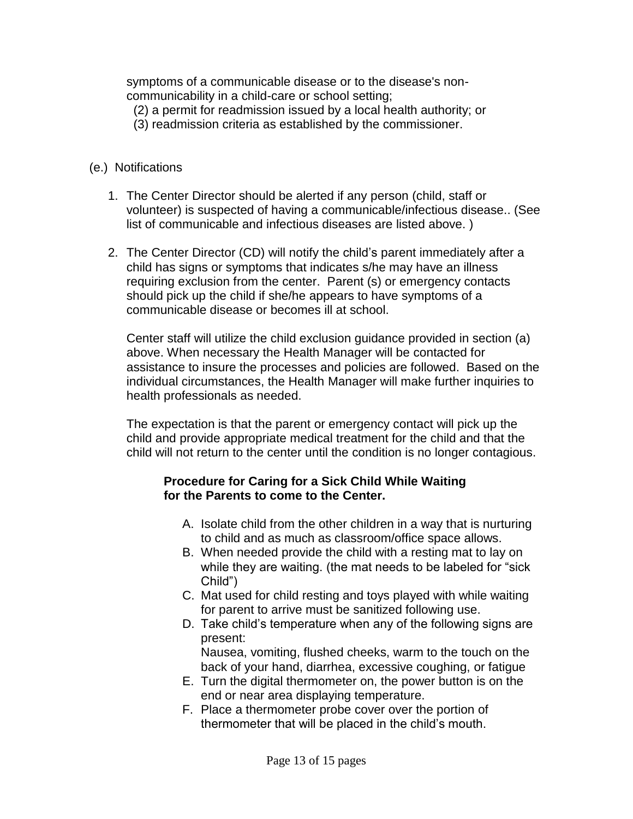symptoms of a communicable disease or to the disease's noncommunicability in a child-care or school setting;

- (2) a permit for readmission issued by a local health authority; or
- (3) readmission criteria as established by the commissioner.
- (e.) Notifications
	- 1. The Center Director should be alerted if any person (child, staff or volunteer) is suspected of having a communicable/infectious disease.. (See list of communicable and infectious diseases are listed above. )
	- 2. The Center Director (CD) will notify the child's parent immediately after a child has signs or symptoms that indicates s/he may have an illness requiring exclusion from the center. Parent (s) or emergency contacts should pick up the child if she/he appears to have symptoms of a communicable disease or becomes ill at school.

Center staff will utilize the child exclusion guidance provided in section (a) above. When necessary the Health Manager will be contacted for assistance to insure the processes and policies are followed. Based on the individual circumstances, the Health Manager will make further inquiries to health professionals as needed.

The expectation is that the parent or emergency contact will pick up the child and provide appropriate medical treatment for the child and that the child will not return to the center until the condition is no longer contagious.

# **Procedure for Caring for a Sick Child While Waiting for the Parents to come to the Center.**

- A. Isolate child from the other children in a way that is nurturing to child and as much as classroom/office space allows.
- B. When needed provide the child with a resting mat to lay on while they are waiting. (the mat needs to be labeled for "sick" Child")
- C. Mat used for child resting and toys played with while waiting for parent to arrive must be sanitized following use.
- D. Take child's temperature when any of the following signs are present: Nausea, vomiting, flushed cheeks, warm to the touch on the

back of your hand, diarrhea, excessive coughing, or fatigue E. Turn the digital thermometer on, the power button is on the

- end or near area displaying temperature.
- F. Place a thermometer probe cover over the portion of thermometer that will be placed in the child's mouth.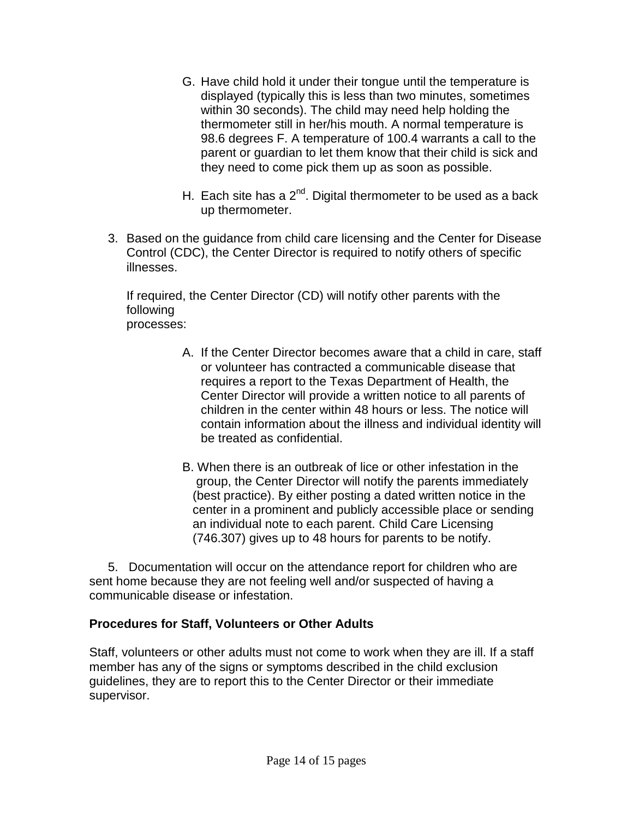- G. Have child hold it under their tongue until the temperature is displayed (typically this is less than two minutes, sometimes within 30 seconds). The child may need help holding the thermometer still in her/his mouth. A normal temperature is 98.6 degrees F. A temperature of 100.4 warrants a call to the parent or guardian to let them know that their child is sick and they need to come pick them up as soon as possible.
- H. Each site has a  $2^{nd}$ . Digital thermometer to be used as a back up thermometer.
- 3. Based on the guidance from child care licensing and the Center for Disease Control (CDC), the Center Director is required to notify others of specific illnesses.

If required, the Center Director (CD) will notify other parents with the following processes:

- A. If the Center Director becomes aware that a child in care, staff or volunteer has contracted a communicable disease that requires a report to the Texas Department of Health, the Center Director will provide a written notice to all parents of children in the center within 48 hours or less. The notice will contain information about the illness and individual identity will be treated as confidential.
- B. When there is an outbreak of lice or other infestation in the group, the Center Director will notify the parents immediately (best practice). By either posting a dated written notice in the center in a prominent and publicly accessible place or sending an individual note to each parent. Child Care Licensing (746.307) gives up to 48 hours for parents to be notify.

5. Documentation will occur on the attendance report for children who are sent home because they are not feeling well and/or suspected of having a communicable disease or infestation.

# **Procedures for Staff, Volunteers or Other Adults**

Staff, volunteers or other adults must not come to work when they are ill. If a staff member has any of the signs or symptoms described in the child exclusion guidelines, they are to report this to the Center Director or their immediate supervisor.